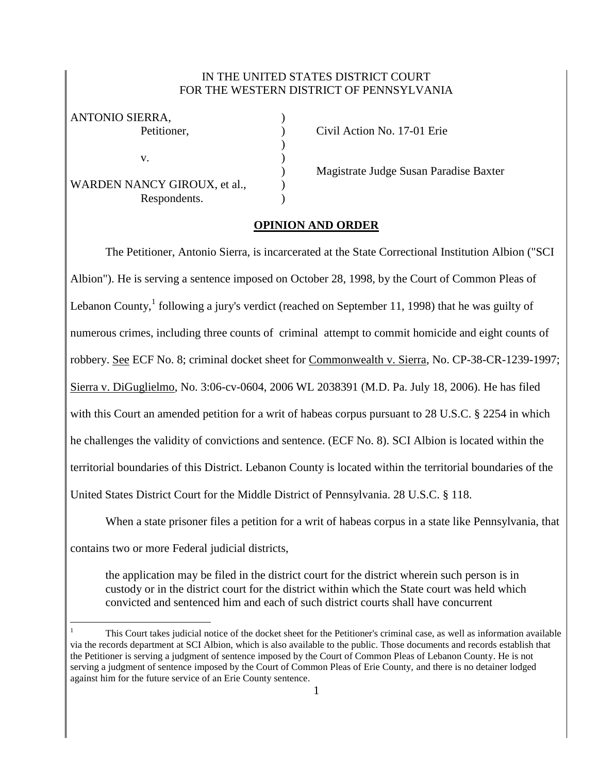## IN THE UNITED STATES DISTRICT COURT FOR THE WESTERN DISTRICT OF PENNSYLVANIA

)

| ANTONIO SIERRA,              |  |
|------------------------------|--|
| Petitioner,                  |  |
|                              |  |
| V.                           |  |
|                              |  |
| WARDEN NANCY GIROUX, et al., |  |
| Respondents.                 |  |

Petition No. 17-01 Erie

) Magistrate Judge Susan Paradise Baxter

## **OPINION AND ORDER**

The Petitioner, Antonio Sierra, is incarcerated at the State Correctional Institution Albion ("SCI Albion"). He is serving a sentence imposed on October 28, 1998, by the Court of Common Pleas of Lebanon County,  $^1$  following a jury's verdict (reached on September 11, 1998) that he was guilty of numerous crimes, including three counts of criminal attempt to commit homicide and eight counts of robbery. See ECF No. 8; criminal docket sheet for Commonwealth v. Sierra, No. CP-38-CR-1239-1997; Sierra v. DiGuglielmo, No. 3:06-cv-0604, 2006 WL 2038391 (M.D. Pa. July 18, 2006). He has filed with this Court an amended petition for a writ of habeas corpus pursuant to 28 U.S.C. § 2254 in which he challenges the validity of convictions and sentence. (ECF No. 8). SCI Albion is located within the territorial boundaries of this District. Lebanon County is located within the territorial boundaries of the United States District Court for the Middle District of Pennsylvania. 28 U.S.C. § 118.

When a state prisoner files a petition for a writ of habeas corpus in a state like Pennsylvania, that contains two or more Federal judicial districts,

the application may be filed in the district court for the district wherein such person is in custody or in the district court for the district within which the State court was held which convicted and sentenced him and each of such district courts shall have concurrent

 $\overline{a}$ <sup>1</sup> This Court takes judicial notice of the docket sheet for the Petitioner's criminal case, as well as information available via the records department at SCI Albion, which is also available to the public. Those documents and records establish that the Petitioner is serving a judgment of sentence imposed by the Court of Common Pleas of Lebanon County. He is not serving a judgment of sentence imposed by the Court of Common Pleas of Erie County, and there is no detainer lodged against him for the future service of an Erie County sentence.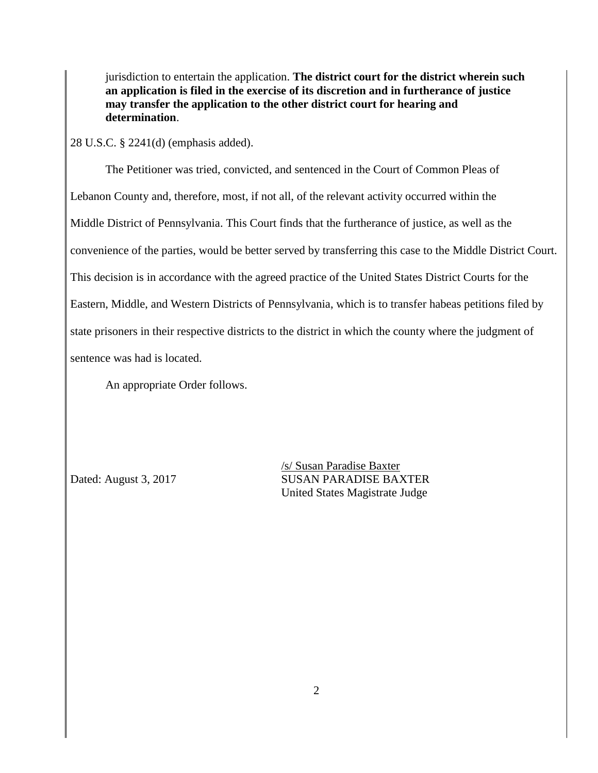jurisdiction to entertain the application. **The district court for the district wherein such an application is filed in the exercise of its discretion and in furtherance of justice may transfer the application to the other district court for hearing and determination**.

28 U.S.C. § 2241(d) (emphasis added).

The Petitioner was tried, convicted, and sentenced in the Court of Common Pleas of Lebanon County and, therefore, most, if not all, of the relevant activity occurred within the Middle District of Pennsylvania. This Court finds that the furtherance of justice, as well as the convenience of the parties, would be better served by transferring this case to the Middle District Court. This decision is in accordance with the agreed practice of the United States District Courts for the Eastern, Middle, and Western Districts of Pennsylvania, which is to transfer habeas petitions filed by state prisoners in their respective districts to the district in which the county where the judgment of sentence was had is located.

An appropriate Order follows.

/s/ Susan Paradise Baxter Dated: August 3, 2017 SUSAN PARADISE BAXTER United States Magistrate Judge